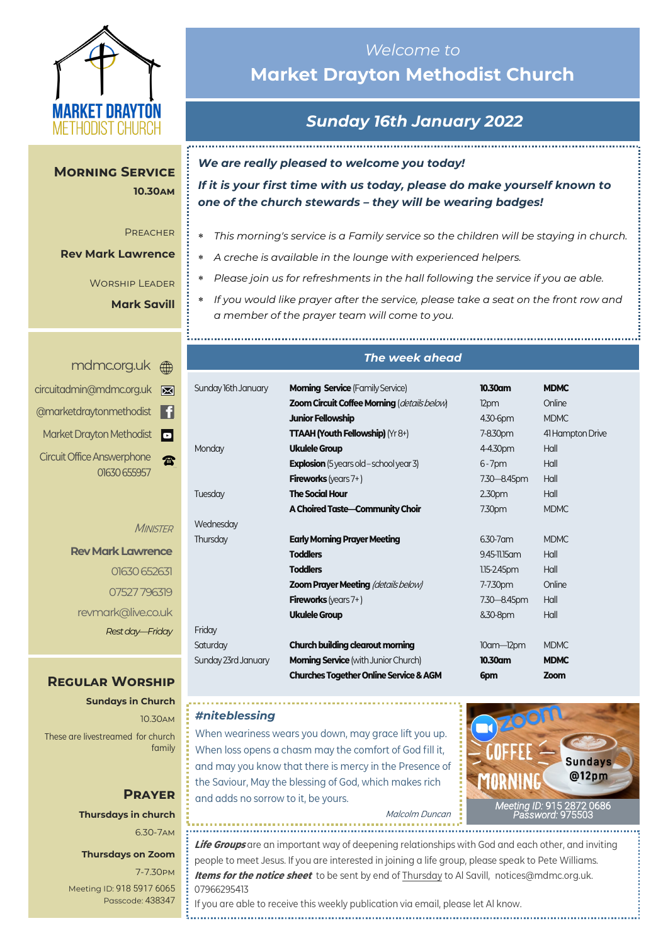

**10.30am 10.30am**

Preacher Preacher

**Rev Mark Lawrence Rev Mark Lawrence**

**Morning Service** 

Worship Leader Worship Leader

**Mark Savill Mark Savill**

## *Welcome to*  **Market Drayton Methodist Church**

# *Sunday 16th January 2022*

*We are really pleased to welcome you today!*

*If it is your first time with us today, please do make yourself known to one of the church stewards – they will be wearing badges!*

- *This morning's service is a Family service so the children will be staying in church.*
- *A creche is available in the lounge with experienced helpers.*
- *Please join us for refreshments in the hall following the service if you ae able.*
- *If you would like prayer after the service, please take a seat on the front row and a member of the prayer team will come to you.*

|                | mdmc.org.uk A                                     |
|----------------|---------------------------------------------------|
| ⊠              | circuitadmin@mdmc.org.uk                          |
| G1             | @marketdraytonmethodist                           |
| $\blacksquare$ | Market Drayton Methodist                          |
|                | <b>Circuit Office Answerphone</b><br>01630 655957 |

**MINISTER** 

**Rev Mark Lawrence** 01630 652631 07527 796319 revmark@live.co.uk *Rest day—Friday*

### **Regular Worship**

**Sundays in Church** 10.30am These are livestreamed for church family

### **Prayer Thursdays in church** 6.30-7am

#### **Thursdays on Zoom**

7-7.30pm [Meeting ID:](https://us04web.zoom.us/j/77138650306?fbclid=IwAR1B778-w3GWZgDnAqUFq-X6hXjzASNTsZuRIt4kZ4Cpyur_3CO2EGlBBwY#success) 918 5917 6065 Passcode: 438347

#### *The week ahead*

| Sunday 16th January | <b>Morning Service (Family Service)</b>            | 10.30am            | <b>MDMC</b>      |
|---------------------|----------------------------------------------------|--------------------|------------------|
|                     | <b>Zoom Circuit Coffee Morning (details below)</b> | 12pm               | Online           |
|                     | <b>Junior Fellowship</b>                           | 4.30-6pm           | <b>MDMC</b>      |
|                     | <b>TTAAH (Youth Fellowship)</b> ( $Yr8+$ )         | 7-8.30pm           | 41 Hampton Drive |
| Monday              | <b>Ukulele Group</b>                               | 4-4.30pm           | Hall             |
|                     | <b>Explosion</b> (5 years old – school year 3)     | $6 - 7$ pm         | Hall             |
|                     | <b>Fireworks</b> (years $7+$ )                     | 7.30 - 8.45pm      | Hall             |
| Tuesday             | <b>The Social Hour</b>                             | 2.30 <sub>pm</sub> | Hall             |
|                     | A Choired Taste-Community Choir                    | 7.30pm             | <b>MDMC</b>      |
| Wednesday           |                                                    |                    |                  |
| Thursday            | <b>Early Morning Prayer Meeting</b>                | 6.30-7 am          | <b>MDMC</b>      |
|                     | <b>Toddlers</b>                                    | 9.45-11.15 am      | Hall             |
|                     | <b>Toddlers</b>                                    | $1.15 - 2.45$ pm   | Hall             |
|                     | <b>Zoom Prayer Meeting (details below)</b>         | 7-7.30pm           | Online           |
|                     | <b>Fireworks</b> (years $7+$ )                     | 7.30 - 8.45pm      | Hall             |
|                     | <b>Ukulele Group</b>                               | &30-8pm            | Hall             |
| Friday              |                                                    |                    |                  |
| Saturday            | <b>Church building clearout morning</b>            | $10$ am $-12$ pm   | <b>MDMC</b>      |
| Sunday 23rd January | <b>Morning Service</b> (with Junior Church)        | 10.30am            | <b>MDMC</b>      |
|                     | <b>Churches Together Online Service &amp; AGM</b>  | 6pm                | Zoom             |

#### *#niteblessing*

When weariness wears you down, may grace lift you up. When loss opens a chasm may the comfort of God fill it, and may you know that there is mercy in the Presence of the Saviour, May the blessing of God, which makes rich and adds no sorrow to it, be yours.



Malcolm Duncan

**Life Groups** are an important way of deepening relationships with God and each other, and inviting people to meet Jesus. If you are interested in joining a life group, please speak to Pete Williams. **Items for the notice sheet** to be sent by end of Thursday to Al Savill, notices@mdmc.org.uk. 07966295413 If you are able to receive this weekly publication via email, please let Al know.